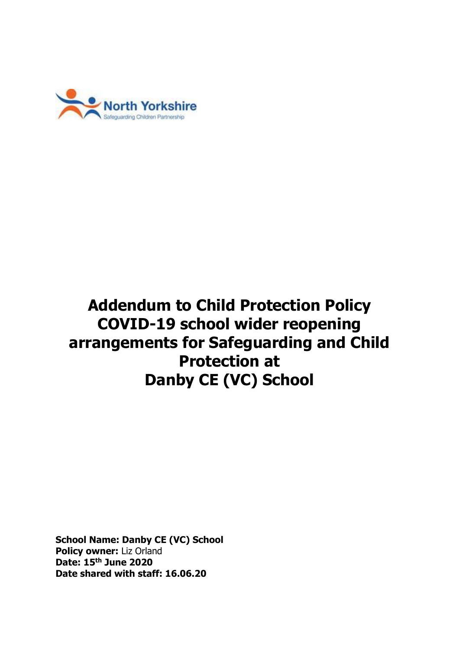

# **Addendum to Child Protection Policy COVID-19 school wider reopening arrangements for Safeguarding and Child Protection at Danby CE (VC) School**

**School Name: Danby CE (VC) School Policy owner:** Liz Orland **Date: 15th June 2020 Date shared with staff: 16.06.20**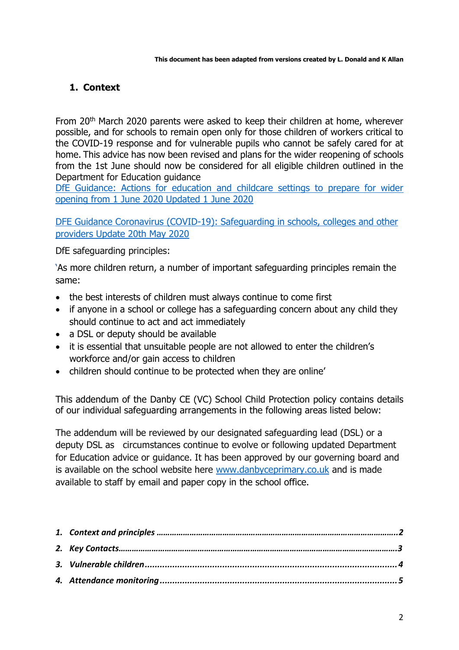## <span id="page-1-0"></span>**1. Context**

From 20th March 2020 parents were asked to keep their children at home, wherever possible, and for schools to remain open only for those children of workers critical to the COVID-19 response and for vulnerable pupils who cannot be safely cared for at home. This advice has now been revised and plans for the wider reopening of schools from the 1st June should now be considered for all eligible children outlined in the Department for Education guidance

[DfE Guidance: Actions for education and childcare settings to prepare for wider](https://www.gov.uk/government/publications/actions-for-educational-and-childcare-settings-to-prepare-for-wider-opening-from-1-june-2020/actions-for-education-and-childcare-settings-to-prepare-for-wider-opening-from-1-june-2020)  [opening from 1 June 2020 Updated 1 June 2020](https://www.gov.uk/government/publications/actions-for-educational-and-childcare-settings-to-prepare-for-wider-opening-from-1-june-2020/actions-for-education-and-childcare-settings-to-prepare-for-wider-opening-from-1-june-2020)

[DFE Guidance Coronavirus \(COVID-19\): Safeguarding in schools, colleges and other](https://www.gov.uk/government/publications/covid-19-safeguarding-in-schools-colleges-and-other-providers/coronavirus-covid-19-safeguarding-in-schools-colleges-and-other-providers)  [providers Update 20th May 2020](https://www.gov.uk/government/publications/covid-19-safeguarding-in-schools-colleges-and-other-providers/coronavirus-covid-19-safeguarding-in-schools-colleges-and-other-providers)

DfE safeguarding principles:

'As more children return, a number of important safeguarding principles remain the same:

- the best interests of children must always continue to come first
- if anyone in a school or college has a safeguarding concern about any child they should continue to act and act immediately
- a DSL or deputy should be available
- it is essential that unsuitable people are not allowed to enter the children's workforce and/or gain access to children
- children should continue to be protected when they are online'

This addendum of the Danby CE (VC) School Child Protection policy contains details of our individual safeguarding arrangements in the following areas listed below:

The addendum will be reviewed by our designated safeguarding lead (DSL) or a deputy DSL as circumstances continue to evolve or following updated Department for Education advice or guidance. It has been approved by our governing board and is available on the school website here [www.danbyceprimary.co.uk](http://www.danbyceprimary.co.uk/) and is made available to staff by email and paper copy in the school office.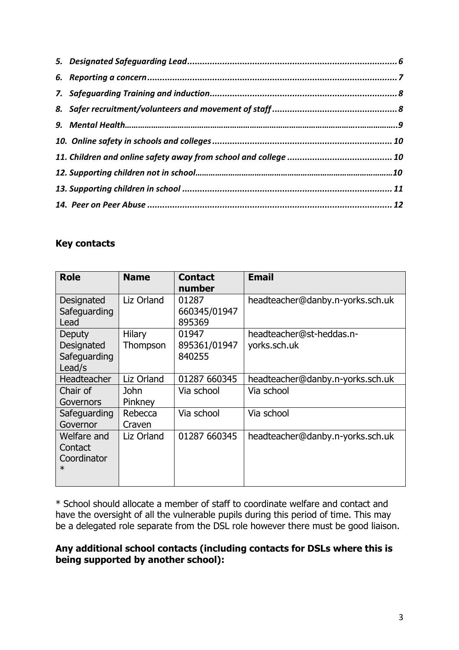## **Key contacts**

| <b>Role</b>                                     | <b>Name</b>        | <b>Contact</b><br>number        | <b>Email</b>                             |
|-------------------------------------------------|--------------------|---------------------------------|------------------------------------------|
| Designated<br>Safeguarding<br>Lead              | Liz Orland         | 01287<br>660345/01947<br>895369 | headteacher@danby.n-yorks.sch.uk         |
| Deputy<br>Designated<br>Safeguarding<br>Lead/s  | Hilary<br>Thompson | 01947<br>895361/01947<br>840255 | headteacher@st-heddas.n-<br>yorks.sch.uk |
| Headteacher                                     | Liz Orland         | 01287 660345                    | headteacher@danby.n-yorks.sch.uk         |
| Chair of<br>Governors                           | John<br>Pinkney    | Via school                      | Via school                               |
| Safeguarding<br>Governor                        | Rebecca<br>Craven  | Via school                      | Via school                               |
| Welfare and<br>Contact<br>Coordinator<br>$\ast$ | Liz Orland         | 01287 660345                    | headteacher@danby.n-yorks.sch.uk         |

\* School should allocate a member of staff to coordinate welfare and contact and have the oversight of all the vulnerable pupils during this period of time. This may be a delegated role separate from the DSL role however there must be good liaison.

## **Any additional school contacts (including contacts for DSLs where this is being supported by another school):**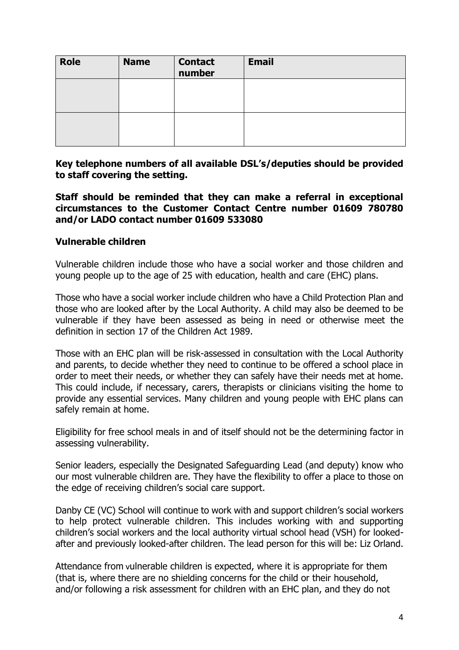| <b>Role</b> | <b>Name</b> | <b>Contact</b><br>number | <b>Email</b> |
|-------------|-------------|--------------------------|--------------|
|             |             |                          |              |
|             |             |                          |              |

**Key telephone numbers of all available DSL's/deputies should be provided to staff covering the setting.**

## **Staff should be reminded that they can make a referral in exceptional circumstances to the Customer Contact Centre number 01609 780780 and/or LADO contact number 01609 533080**

## <span id="page-3-0"></span>**Vulnerable children**

Vulnerable children include those who have a social worker and those children and young people up to the age of 25 with education, health and care (EHC) plans.

Those who have a social worker include children who have a Child Protection Plan and those who are looked after by the Local Authority. A child may also be deemed to be vulnerable if they have been assessed as being in need or otherwise meet the definition in section 17 of the Children Act 1989.

Those with an EHC plan will be risk-assessed in consultation with the Local Authority and parents, to decide whether they need to continue to be offered a school place in order to meet their needs, or whether they can safely have their needs met at home. This could include, if necessary, carers, therapists or clinicians visiting the home to provide any essential services. Many children and young people with EHC plans can safely remain at home.

Eligibility for free school meals in and of itself should not be the determining factor in assessing vulnerability.

Senior leaders, especially the Designated Safeguarding Lead (and deputy) know who our most vulnerable children are. They have the flexibility to offer a place to those on the edge of receiving children's social care support.

Danby CE (VC) School will continue to work with and support children's social workers to help protect vulnerable children. This includes working with and supporting children's social workers and the local authority virtual school head (VSH) for lookedafter and previously looked-after children. The lead person for this will be: Liz Orland.

Attendance from vulnerable children is expected, where it is appropriate for them (that is, where there are no shielding concerns for the child or their household, and/or following a risk assessment for children with an EHC plan, and they do not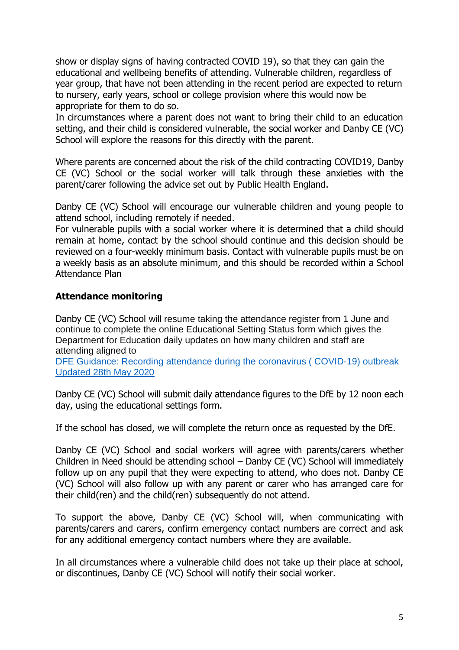show or display signs of having contracted COVID 19), so that they can gain the educational and wellbeing benefits of attending. Vulnerable children, regardless of year group, that have not been attending in the recent period are expected to return to nursery, early years, school or college provision where this would now be appropriate for them to do so.

In circumstances where a parent does not want to bring their child to an education setting, and their child is considered vulnerable, the social worker and Danby CE (VC) School will explore the reasons for this directly with the parent.

Where parents are concerned about the risk of the child contracting COVID19, Danby CE (VC) School or the social worker will talk through these anxieties with the parent/carer following the advice set out by Public Health England.

Danby CE (VC) School will encourage our vulnerable children and young people to attend school, including remotely if needed.

For vulnerable pupils with a social worker where it is determined that a child should remain at home, contact by the school should continue and this decision should be reviewed on a four-weekly minimum basis. Contact with vulnerable pupils must be on a weekly basis as an absolute minimum, and this should be recorded within a School Attendance Plan

## <span id="page-4-0"></span>**Attendance monitoring**

Danby CE (VC) School will resume taking the attendance register from 1 June and continue to complete the online Educational Setting Status form which gives the Department for Education daily updates on how many children and staff are attending aligned to

[DFE Guidance: Recording attendance during the coronavirus \( COVID-19\) outbreak](https://www.gov.uk/government/publications/coronavirus-covid-19-attendance-recording-for-educational-settings)  [Updated 28th May 2020](https://www.gov.uk/government/publications/coronavirus-covid-19-attendance-recording-for-educational-settings)

Danby CE (VC) School will submit daily attendance figures to the DfE by 12 noon each day, using the educational settings form.

If the school has closed, we will complete the return once as requested by the DfE.

Danby CE (VC) School and social workers will agree with parents/carers whether Children in Need should be attending school – Danby CE (VC) School will immediately follow up on any pupil that they were expecting to attend, who does not. Danby CE (VC) School will also follow up with any parent or carer who has arranged care for their child(ren) and the child(ren) subsequently do not attend.

To support the above, Danby CE (VC) School will, when communicating with parents/carers and carers, confirm emergency contact numbers are correct and ask for any additional emergency contact numbers where they are available.

In all circumstances where a vulnerable child does not take up their place at school, or discontinues, Danby CE (VC) School will notify their social worker.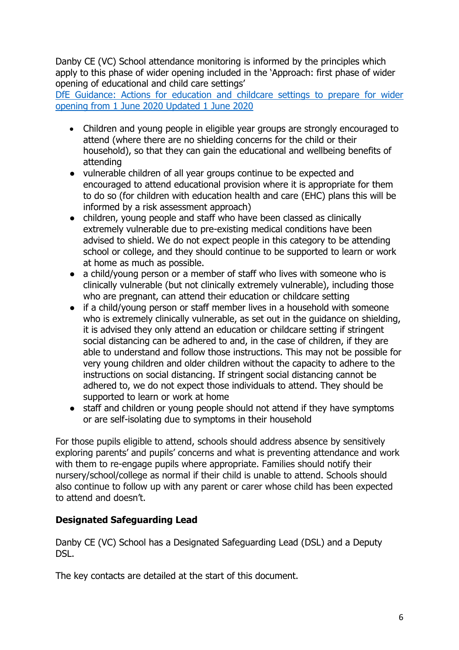Danby CE (VC) School attendance monitoring is informed by the principles which apply to this phase of wider opening included in the 'Approach: first phase of wider opening of educational and child care settings'

DfE Guidance: Actions for [education and childcare settings to prepare for wider](https://www.gov.uk/government/publications/actions-for-educational-and-childcare-settings-to-prepare-for-wider-opening-from-1-june-2020/actions-for-education-and-childcare-settings-to-prepare-for-wider-opening-from-1-june-2020)  [opening from 1 June 2020 Updated 1 June 2020](https://www.gov.uk/government/publications/actions-for-educational-and-childcare-settings-to-prepare-for-wider-opening-from-1-june-2020/actions-for-education-and-childcare-settings-to-prepare-for-wider-opening-from-1-june-2020)

- Children and young people in eligible year groups are strongly encouraged to attend (where there are no shielding concerns for the child or their household), so that they can gain the educational and wellbeing benefits of attending
- vulnerable children of all year groups continue to be expected and encouraged to attend educational provision where it is appropriate for them to do so (for children with education health and care (EHC) plans this will be informed by a risk assessment approach)
- children, young people and staff who have been classed as clinically extremely vulnerable due to pre-existing medical conditions have been advised to shield. We do not expect people in this category to be attending school or college, and they should continue to be supported to learn or work at home as much as possible.
- a child/young person or a member of staff who lives with someone who is clinically vulnerable (but not clinically extremely vulnerable), including those who are pregnant, can attend their education or childcare setting
- if a child/young person or staff member lives in a household with someone who is extremely clinically vulnerable, as set out in the guidance on shielding, it is advised they only attend an education or childcare setting if stringent social distancing can be adhered to and, in the case of children, if they are able to understand and follow those instructions. This may not be possible for very young children and older children without the capacity to adhere to the instructions on social distancing. If stringent social distancing cannot be adhered to, we do not expect those individuals to attend. They should be supported to learn or work at home
- staff and children or young people should not attend if they have symptoms or are self-isolating due to symptoms in their household

For those pupils eligible to attend, schools should address absence by sensitively exploring parents' and pupils' concerns and what is preventing attendance and work with them to re-engage pupils where appropriate. Families should notify their nursery/school/college as normal if their child is unable to attend. Schools should also continue to follow up with any parent or carer whose child has been expected to attend and doesn't.

## <span id="page-5-0"></span>**Designated Safeguarding Lead**

Danby CE (VC) School has a Designated Safeguarding Lead (DSL) and a Deputy DSL.

The key contacts are detailed at the start of this document.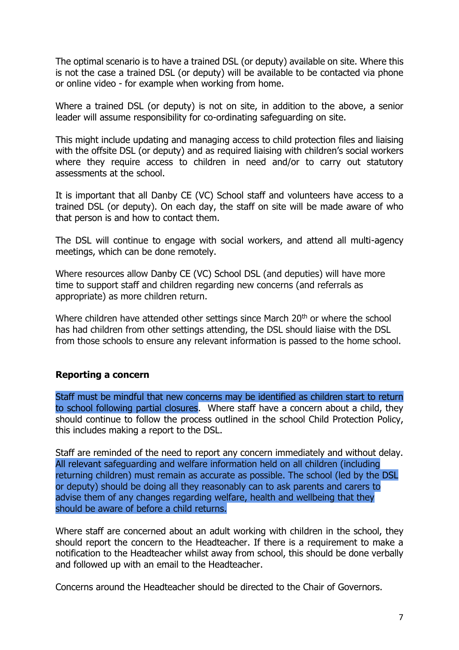The optimal scenario is to have a trained DSL (or deputy) available on site. Where this is not the case a trained DSL (or deputy) will be available to be contacted via phone or online video - for example when working from home.

Where a trained DSL (or deputy) is not on site, in addition to the above, a senior leader will assume responsibility for co-ordinating safeguarding on site.

This might include updating and managing access to child protection files and liaising with the offsite DSL (or deputy) and as required liaising with children's social workers where they require access to children in need and/or to carry out statutory assessments at the school.

It is important that all Danby CE (VC) School staff and volunteers have access to a trained DSL (or deputy). On each day, the staff on site will be made aware of who that person is and how to contact them.

The DSL will continue to engage with social workers, and attend all multi-agency meetings, which can be done remotely.

Where resources allow Danby CE (VC) School DSL (and deputies) will have more time to support staff and children regarding new concerns (and referrals as appropriate) as more children return.

Where children have attended other settings since March 20<sup>th</sup> or where the school has had children from other settings attending, the DSL should liaise with the DSL from those schools to ensure any relevant information is passed to the home school.

## <span id="page-6-0"></span>**Reporting a concern**

Staff must be mindful that new concerns may be identified as children start to return to school following partial closures. Where staff have a concern about a child, they should continue to follow the process outlined in the school Child Protection Policy, this includes making a report to the DSL.

Staff are reminded of the need to report any concern immediately and without delay. All relevant safeguarding and welfare information held on all children (including returning children) must remain as accurate as possible. The school (led by the DSL or deputy) should be doing all they reasonably can to ask parents and carers to advise them of any changes regarding welfare, health and wellbeing that they should be aware of before a child returns.

Where staff are concerned about an adult working with children in the school, they should report the concern to the Headteacher. If there is a requirement to make a notification to the Headteacher whilst away from school, this should be done verbally and followed up with an email to the Headteacher.

Concerns around the Headteacher should be directed to the Chair of Governors.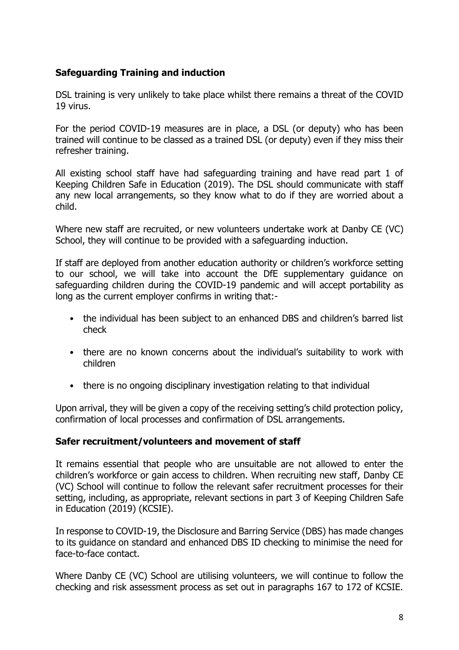## <span id="page-7-0"></span>**Safeguarding Training and induction**

DSL training is very unlikely to take place whilst there remains a threat of the COVID 19 virus.

For the period COVID-19 measures are in place, a DSL (or deputy) who has been trained will continue to be classed as a trained DSL (or deputy) even if they miss their refresher training.

All existing school staff have had safeguarding training and have read part 1 of Keeping Children Safe in Education (2019). The DSL should communicate with staff any new local arrangements, so they know what to do if they are worried about a child.

Where new staff are recruited, or new volunteers undertake work at Danby CE (VC) School, they will continue to be provided with a safeguarding induction.

If staff are deployed from another education authority or children's workforce setting to our school, we will take into account the DfE supplementary guidance on safeguarding children during the COVID-19 pandemic and will accept portability as long as the current employer confirms in writing that:-

- the individual has been subject to an enhanced DBS and children's barred list check
- there are no known concerns about the individual's suitability to work with children
- there is no ongoing disciplinary investigation relating to that individual

Upon arrival, they will be given a copy of the receiving setting's child protection policy, confirmation of local processes and confirmation of DSL arrangements.

## <span id="page-7-1"></span>**Safer recruitment/volunteers and movement of staff**

It remains essential that people who are unsuitable are not allowed to enter the children's workforce or gain access to children. When recruiting new staff, Danby CE (VC) School will continue to follow the relevant safer recruitment processes for their setting, including, as appropriate, relevant sections in part 3 of Keeping Children Safe in Education (2019) (KCSIE).

In response to COVID-19, the Disclosure and Barring Service (DBS) has made changes to its guidance on standard and enhanced DBS ID checking to minimise the need for face-to-face contact.

Where Danby CE (VC) School are utilising volunteers, we will continue to follow the checking and risk assessment process as set out in paragraphs 167 to 172 of KCSIE.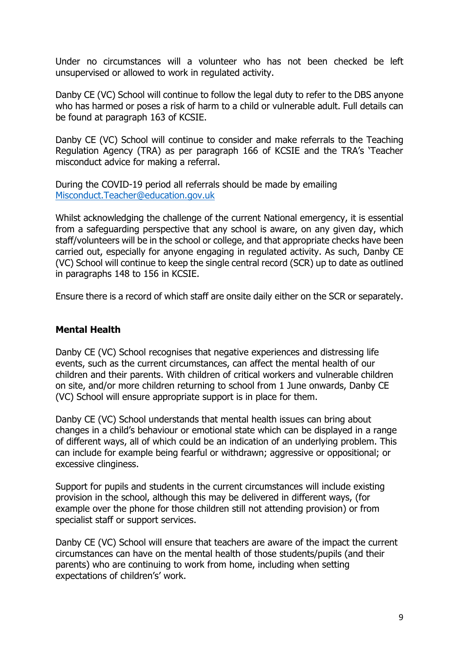Under no circumstances will a volunteer who has not been checked be left unsupervised or allowed to work in regulated activity.

Danby CE (VC) School will continue to follow the legal duty to refer to the DBS anyone who has harmed or poses a risk of harm to a child or vulnerable adult. Full details can be found at paragraph 163 of KCSIE.

Danby CE (VC) School will continue to consider and make referrals to the Teaching Regulation Agency (TRA) as per paragraph 166 of KCSIE and the TRA's 'Teacher misconduct advice for making a referral.

During the COVID-19 period all referrals should be made by emailing [Misconduct.Teacher@education.gov.uk](mailto:Misconduct.Teacher@education.gov.uk)

Whilst acknowledging the challenge of the current National emergency, it is essential from a safeguarding perspective that any school is aware, on any given day, which staff/volunteers will be in the school or college, and that appropriate checks have been carried out, especially for anyone engaging in regulated activity. As such, Danby CE (VC) School will continue to keep the single central record (SCR) up to date as outlined in paragraphs 148 to 156 in KCSIE.

Ensure there is a record of which staff are onsite daily either on the SCR or separately.

## **Mental Health**

Danby CE (VC) School recognises that negative experiences and distressing life events, such as the current circumstances, can affect the mental health of our children and their parents. With children of critical workers and vulnerable children on site, and/or more children returning to school from 1 June onwards, Danby CE (VC) School will ensure appropriate support is in place for them.

Danby CE (VC) School understands that mental health issues can bring about changes in a child's behaviour or emotional state which can be displayed in a range of different ways, all of which could be an indication of an underlying problem. This can include for example being fearful or withdrawn; aggressive or oppositional; or excessive clinginess.

Support for pupils and students in the current circumstances will include existing provision in the school, although this may be delivered in different ways, (for example over the phone for those children still not attending provision) or from specialist staff or support services.

Danby CE (VC) School will ensure that teachers are aware of the impact the current circumstances can have on the mental health of those students/pupils (and their parents) who are continuing to work from home, including when setting expectations of children's' work.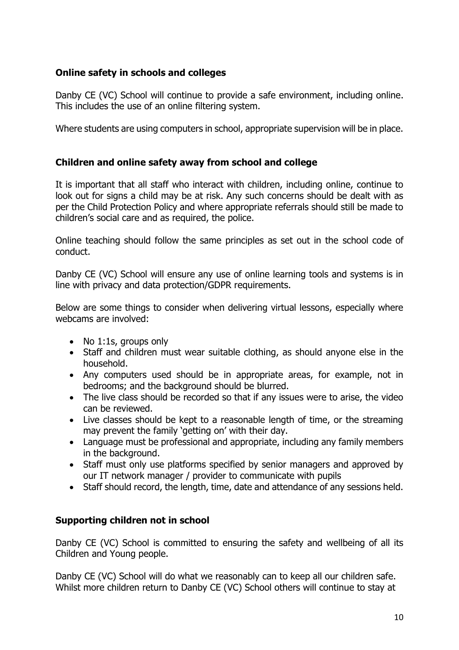## <span id="page-9-0"></span>**Online safety in schools and colleges**

Danby CE (VC) School will continue to provide a safe environment, including online. This includes the use of an online filtering system.

Where students are using computers in school, appropriate supervision will be in place.

## <span id="page-9-1"></span>**Children and online safety away from school and college**

It is important that all staff who interact with children, including online, continue to look out for signs a child may be at risk. Any such concerns should be dealt with as per the Child Protection Policy and where appropriate referrals should still be made to children's social care and as required, the police.

Online teaching should follow the same principles as set out in the school code of conduct.

Danby CE (VC) School will ensure any use of online learning tools and systems is in line with privacy and data protection/GDPR requirements.

Below are some things to consider when delivering virtual lessons, especially where webcams are involved:

- No 1:1s, groups only
- Staff and children must wear suitable clothing, as should anyone else in the household.
- Any computers used should be in appropriate areas, for example, not in bedrooms; and the background should be blurred.
- The live class should be recorded so that if any issues were to arise, the video can be reviewed.
- Live classes should be kept to a reasonable length of time, or the streaming may prevent the family 'getting on' with their day.
- Language must be professional and appropriate, including any family members in the background.
- Staff must only use platforms specified by senior managers and approved by our IT network manager / provider to communicate with pupils
- Staff should record, the length, time, date and attendance of any sessions held.

## **Supporting children not in school**

Danby CE (VC) School is committed to ensuring the safety and wellbeing of all its Children and Young people.

Danby CE (VC) School will do what we reasonably can to keep all our children safe. Whilst more children return to Danby CE (VC) School others will continue to stay at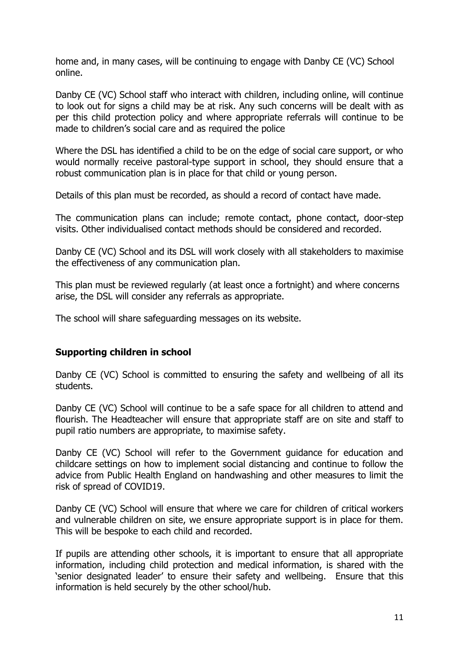home and, in many cases, will be continuing to engage with Danby CE (VC) School online.

Danby CE (VC) School staff who interact with children, including online, will continue to look out for signs a child may be at risk. Any such concerns will be dealt with as per this child protection policy and where appropriate referrals will continue to be made to children's social care and as required the police

Where the DSL has identified a child to be on the edge of social care support, or who would normally receive pastoral-type support in school, they should ensure that a robust communication plan is in place for that child or young person.

Details of this plan must be recorded, as should a record of contact have made.

The communication plans can include; remote contact, phone contact, door-step visits. Other individualised contact methods should be considered and recorded.

Danby CE (VC) School and its DSL will work closely with all stakeholders to maximise the effectiveness of any communication plan.

This plan must be reviewed regularly (at least once a fortnight) and where concerns arise, the DSL will consider any referrals as appropriate.

The school will share safeguarding messages on its website.

## <span id="page-10-0"></span>**Supporting children in school**

Danby CE (VC) School is committed to ensuring the safety and wellbeing of all its students.

Danby CE (VC) School will continue to be a safe space for all children to attend and flourish. The Headteacher will ensure that appropriate staff are on site and staff to pupil ratio numbers are appropriate, to maximise safety.

Danby CE (VC) School will refer to the Government guidance for education and childcare settings on how to implement social distancing and continue to follow the advice from Public Health England on handwashing and other measures to limit the risk of spread of COVID19.

Danby CE (VC) School will ensure that where we care for children of critical workers and vulnerable children on site, we ensure appropriate support is in place for them. This will be bespoke to each child and recorded.

If pupils are attending other schools, it is important to ensure that all appropriate information, including child protection and medical information, is shared with the 'senior designated leader' to ensure their safety and wellbeing. Ensure that this information is held securely by the other school/hub.